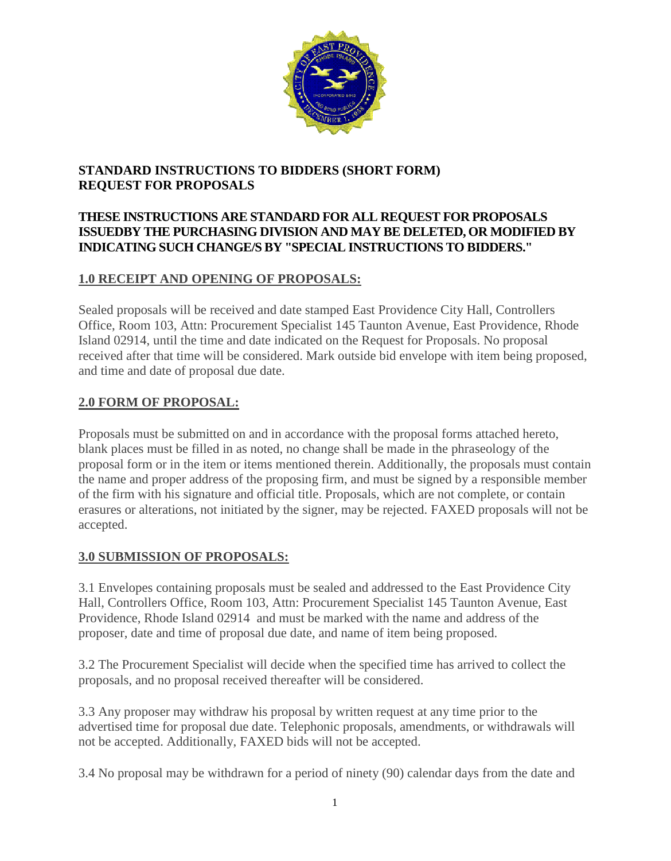

# **STANDARD INSTRUCTIONS TO BIDDERS (SHORT FORM) REQUEST FOR PROPOSALS**

## **THESE INSTRUCTIONS ARE STANDARD FOR ALL REQUEST FOR PROPOSALS ISSUEDBY THE PURCHASING DIVISION AND MAY BE DELETED, OR MODIFIED BY INDICATING SUCH CHANGE/S BY "SPECIAL INSTRUCTIONS TO BIDDERS."**

# **1.0 RECEIPT AND OPENING OF PROPOSALS:**

Sealed proposals will be received and date stamped East Providence City Hall, Controllers Office, Room 103, Attn: Procurement Specialist 145 Taunton Avenue, East Providence, Rhode Island 02914, until the time and date indicated on the Request for Proposals. No proposal received after that time will be considered. Mark outside bid envelope with item being proposed, and time and date of proposal due date.

# **2.0 FORM OF PROPOSAL:**

Proposals must be submitted on and in accordance with the proposal forms attached hereto, blank places must be filled in as noted, no change shall be made in the phraseology of the proposal form or in the item or items mentioned therein. Additionally, the proposals must contain the name and proper address of the proposing firm, and must be signed by a responsible member of the firm with his signature and official title. Proposals, which are not complete, or contain erasures or alterations, not initiated by the signer, may be rejected. FAXED proposals will not be accepted.

# **3.0 SUBMISSION OF PROPOSALS:**

3.1 Envelopes containing proposals must be sealed and addressed to the East Providence City Hall, Controllers Office, Room 103, Attn: Procurement Specialist 145 Taunton Avenue, East Providence, Rhode Island 02914 and must be marked with the name and address of the proposer, date and time of proposal due date, and name of item being proposed.

3.2 The Procurement Specialist will decide when the specified time has arrived to collect the proposals, and no proposal received thereafter will be considered.

3.3 Any proposer may withdraw his proposal by written request at any time prior to the advertised time for proposal due date. Telephonic proposals, amendments, or withdrawals will not be accepted. Additionally, FAXED bids will not be accepted.

3.4 No proposal may be withdrawn for a period of ninety (90) calendar days from the date and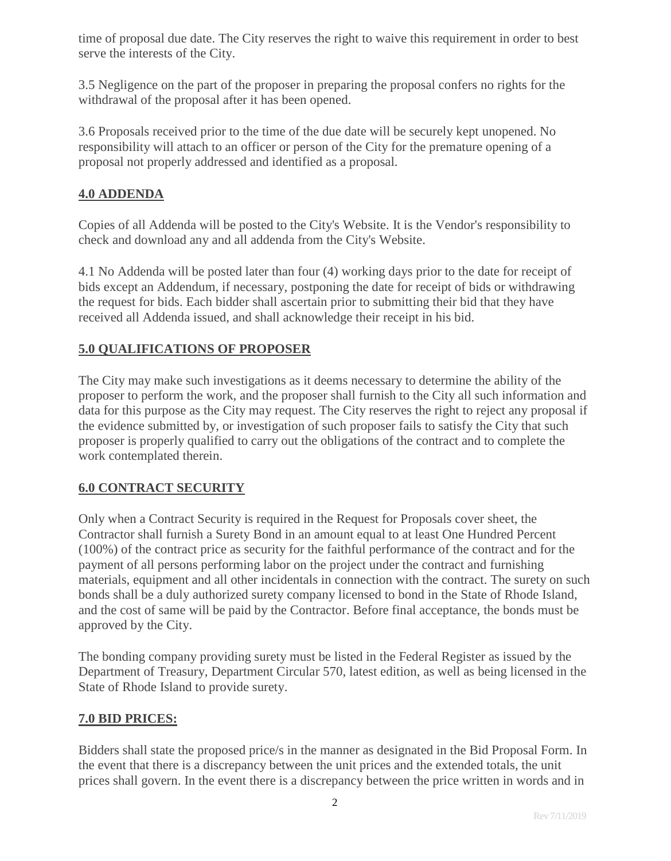time of proposal due date. The City reserves the right to waive this requirement in order to best serve the interests of the City.

3.5 Negligence on the part of the proposer in preparing the proposal confers no rights for the withdrawal of the proposal after it has been opened.

3.6 Proposals received prior to the time of the due date will be securely kept unopened. No responsibility will attach to an officer or person of the City for the premature opening of a proposal not properly addressed and identified as a proposal.

### **4.0 ADDENDA**

Copies of all Addenda will be posted to the City's Website. It is the Vendor's responsibility to check and download any and all addenda from the City's Website.

4.1 No Addenda will be posted later than four (4) working days prior to the date for receipt of bids except an Addendum, if necessary, postponing the date for receipt of bids or withdrawing the request for bids. Each bidder shall ascertain prior to submitting their bid that they have received all Addenda issued, and shall acknowledge their receipt in his bid.

## **5.0 QUALIFICATIONS OF PROPOSER**

The City may make such investigations as it deems necessary to determine the ability of the proposer to perform the work, and the proposer shall furnish to the City all such information and data for this purpose as the City may request. The City reserves the right to reject any proposal if the evidence submitted by, or investigation of such proposer fails to satisfy the City that such proposer is properly qualified to carry out the obligations of the contract and to complete the work contemplated therein.

### **6.0 CONTRACT SECURITY**

Only when a Contract Security is required in the Request for Proposals cover sheet, the Contractor shall furnish a Surety Bond in an amount equal to at least One Hundred Percent (100%) of the contract price as security for the faithful performance of the contract and for the payment of all persons performing labor on the project under the contract and furnishing materials, equipment and all other incidentals in connection with the contract. The surety on such bonds shall be a duly authorized surety company licensed to bond in the State of Rhode Island, and the cost of same will be paid by the Contractor. Before final acceptance, the bonds must be approved by the City.

The bonding company providing surety must be listed in the Federal Register as issued by the Department of Treasury, Department Circular 570, latest edition, as well as being licensed in the State of Rhode Island to provide surety.

### **7.0 BID PRICES:**

Bidders shall state the proposed price/s in the manner as designated in the Bid Proposal Form. In the event that there is a discrepancy between the unit prices and the extended totals, the unit prices shall govern. In the event there is a discrepancy between the price written in words and in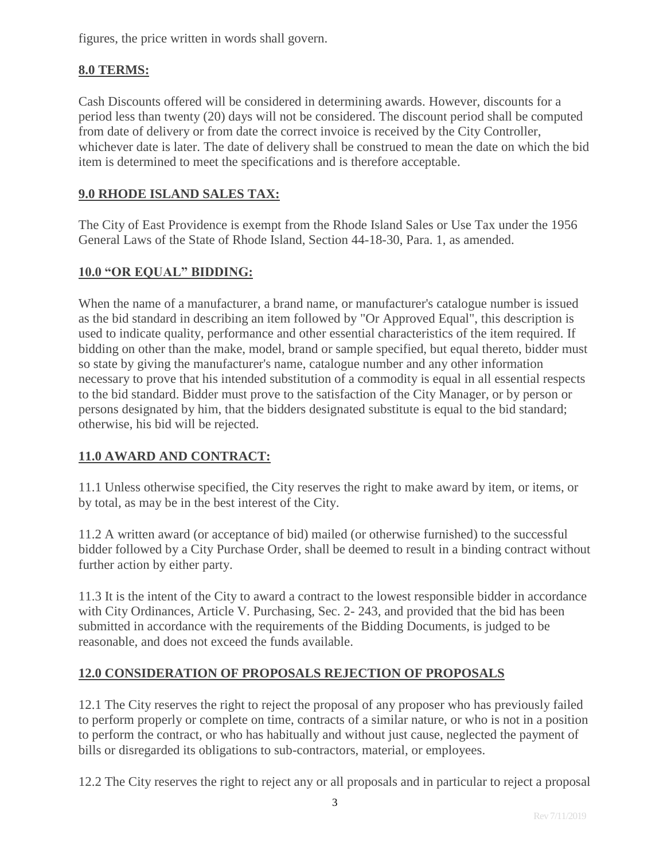figures, the price written in words shall govern.

# **8.0 TERMS:**

Cash Discounts offered will be considered in determining awards. However, discounts for a period less than twenty (20) days will not be considered. The discount period shall be computed from date of delivery or from date the correct invoice is received by the City Controller, whichever date is later. The date of delivery shall be construed to mean the date on which the bid item is determined to meet the specifications and is therefore acceptable.

## **9.0 RHODE ISLAND SALES TAX:**

The City of East Providence is exempt from the Rhode Island Sales or Use Tax under the 1956 General Laws of the State of Rhode Island, Section 44-18-30, Para. 1, as amended.

## **10.0 "OR EQUAL" BIDDING:**

When the name of a manufacturer, a brand name, or manufacturer's catalogue number is issued as the bid standard in describing an item followed by "Or Approved Equal", this description is used to indicate quality, performance and other essential characteristics of the item required. If bidding on other than the make, model, brand or sample specified, but equal thereto, bidder must so state by giving the manufacturer's name, catalogue number and any other information necessary to prove that his intended substitution of a commodity is equal in all essential respects to the bid standard. Bidder must prove to the satisfaction of the City Manager, or by person or persons designated by him, that the bidders designated substitute is equal to the bid standard; otherwise, his bid will be rejected.

### **11.0 AWARD AND CONTRACT:**

11.1 Unless otherwise specified, the City reserves the right to make award by item, or items, or by total, as may be in the best interest of the City.

11.2 A written award (or acceptance of bid) mailed (or otherwise furnished) to the successful bidder followed by a City Purchase Order, shall be deemed to result in a binding contract without further action by either party.

11.3 It is the intent of the City to award a contract to the lowest responsible bidder in accordance with City Ordinances, Article V. Purchasing, Sec. 2- 243, and provided that the bid has been submitted in accordance with the requirements of the Bidding Documents, is judged to be reasonable, and does not exceed the funds available.

# **12.0 CONSIDERATION OF PROPOSALS REJECTION OF PROPOSALS**

12.1 The City reserves the right to reject the proposal of any proposer who has previously failed to perform properly or complete on time, contracts of a similar nature, or who is not in a position to perform the contract, or who has habitually and without just cause, neglected the payment of bills or disregarded its obligations to sub-contractors, material, or employees.

12.2 The City reserves the right to reject any or all proposals and in particular to reject a proposal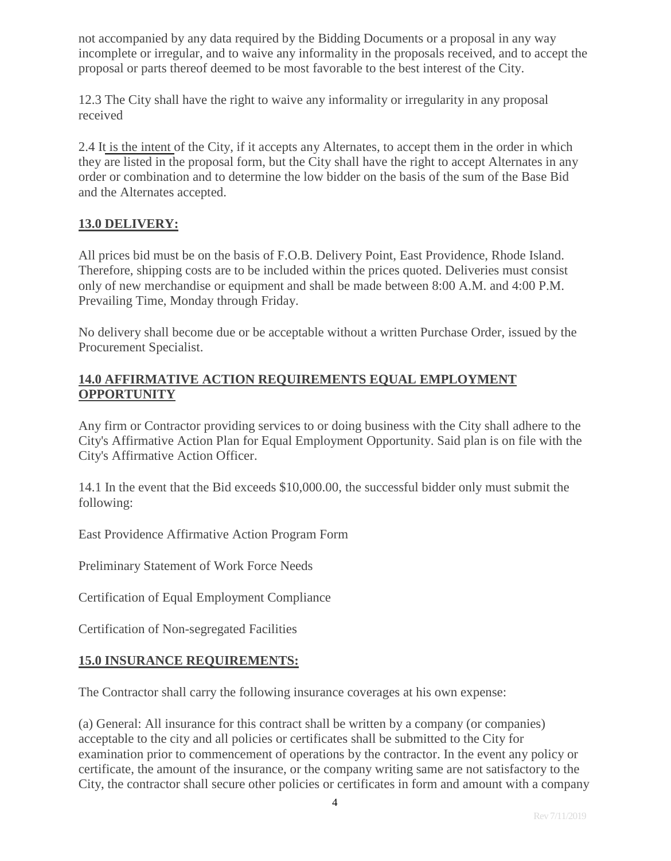not accompanied by any data required by the Bidding Documents or a proposal in any way incomplete or irregular, and to waive any informality in the proposals received, and to accept the proposal or parts thereof deemed to be most favorable to the best interest of the City.

12.3 The City shall have the right to waive any informality or irregularity in any proposal received

2.4 It is the intent of the City, if it accepts any Alternates, to accept them in the order in which they are listed in the proposal form, but the City shall have the right to accept Alternates in any order or combination and to determine the low bidder on the basis of the sum of the Base Bid and the Alternates accepted.

### **13.0 DELIVERY:**

All prices bid must be on the basis of F.O.B. Delivery Point, East Providence, Rhode Island. Therefore, shipping costs are to be included within the prices quoted. Deliveries must consist only of new merchandise or equipment and shall be made between 8:00 A.M. and 4:00 P.M. Prevailing Time, Monday through Friday.

No delivery shall become due or be acceptable without a written Purchase Order, issued by the Procurement Specialist.

### **14.0 AFFIRMATIVE ACTION REQUIREMENTS EQUAL EMPLOYMENT OPPORTUNITY**

Any firm or Contractor providing services to or doing business with the City shall adhere to the City's Affirmative Action Plan for Equal Employment Opportunity. Said plan is on file with the City's Affirmative Action Officer.

14.1 In the event that the Bid exceeds \$10,000.00, the successful bidder only must submit the following:

East Providence Affirmative Action Program Form

Preliminary Statement of Work Force Needs

Certification of Equal Employment Compliance

Certification of Non-segregated Facilities

### **15.0 INSURANCE REQUIREMENTS:**

The Contractor shall carry the following insurance coverages at his own expense:

(a) General: All insurance for this contract shall be written by a company (or companies) acceptable to the city and all policies or certificates shall be submitted to the City for examination prior to commencement of operations by the contractor. In the event any policy or certificate, the amount of the insurance, or the company writing same are not satisfactory to the City, the contractor shall secure other policies or certificates in form and amount with a company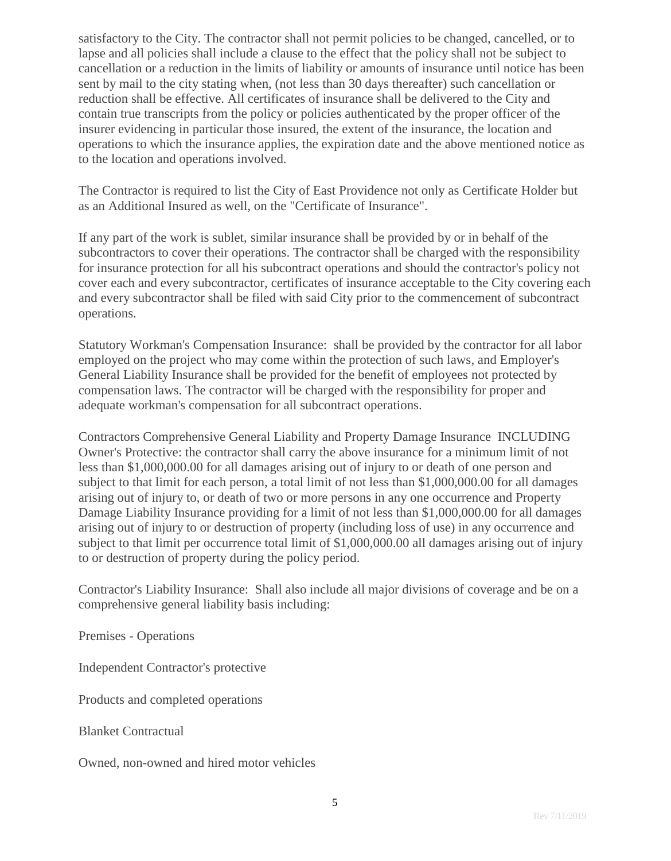satisfactory to the City. The contractor shall not permit policies to be changed, cancelled, or to lapse and all policies shall include a clause to the effect that the policy shall not be subject to cancellation or a reduction in the limits of liability or amounts of insurance until notice has been sent by mail to the city stating when, (not less than 30 days thereafter) such cancellation or reduction shall be effective. All certificates of insurance shall be delivered to the City and contain true transcripts from the policy or policies authenticated by the proper officer of the insurer evidencing in particular those insured, the extent of the insurance, the location and operations to which the insurance applies, the expiration date and the above mentioned notice as to the location and operations involved.

The Contractor is required to list the City of East Providence not only as Certificate Holder but as an Additional Insured as well, on the "Certificate of Insurance".

If any part of the work is sublet, similar insurance shall be provided by or in behalf of the subcontractors to cover their operations. The contractor shall be charged with the responsibility for insurance protection for all his subcontract operations and should the contractor's policy not cover each and every subcontractor, certificates of insurance acceptable to the City covering each and every subcontractor shall be filed with said City prior to the commencement of subcontract operations.

Statutory Workman's Compensation Insurance: shall be provided by the contractor for all labor employed on the project who may come within the protection of such laws, and Employer's General Liability Insurance shall be provided for the benefit of employees not protected by compensation laws. The contractor will be charged with the responsibility for proper and adequate workman's compensation for all subcontract operations.

Contractors Comprehensive General Liability and Property Damage Insurance INCLUDING Owner's Protective: the contractor shall carry the above insurance for a minimum limit of not less than \$1,000,000.00 for all damages arising out of injury to or death of one person and subject to that limit for each person, a total limit of not less than \$1,000,000.00 for all damages arising out of injury to, or death of two or more persons in any one occurrence and Property Damage Liability Insurance providing for a limit of not less than \$1,000,000.00 for all damages arising out of injury to or destruction of property (including loss of use) in any occurrence and subject to that limit per occurrence total limit of \$1,000,000.00 all damages arising out of injury to or destruction of property during the policy period.

Contractor's Liability Insurance: Shall also include all major divisions of coverage and be on a comprehensive general liability basis including:

Premises - Operations

Independent Contractor's protective

Products and completed operations

Blanket Contractual

Owned, non-owned and hired motor vehicles